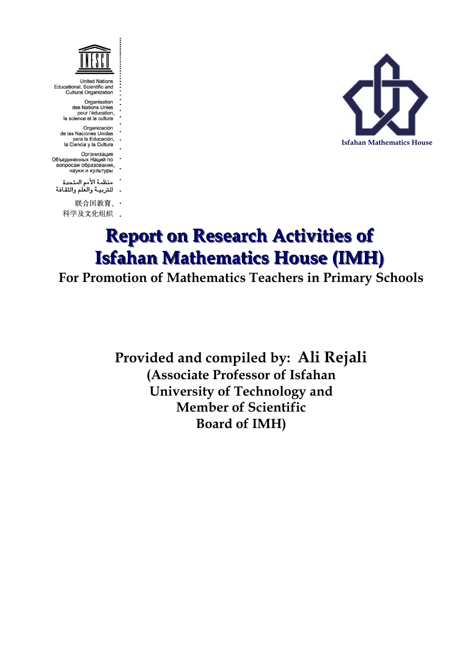

Educational, Scientific and **Cultural Organization** 

- Organisation<br>des Nations Unies pour l'éducation,<br>la science et la culture
- Organización de las Naciones Unidas
- para la Educación,<br>la Ciencia y la Cultura
- Организация Объединенных Наций по
- вопросам образования, науки и культуры
- منظمة الأمم المتحدة للتربيـة والعلم والثقافة
	- 联合国教育、·
	- 科学及文化组织 .



# **Report on Research Activities of Isfahan Mathematics House (IMH)**

## **For Promotion of Mathematics Teachers in Primary Schools**

**Provided and compiled by: Ali Rejali (Associate Professor of Isfahan University of Technology and Member of Scientific Board of IMH)**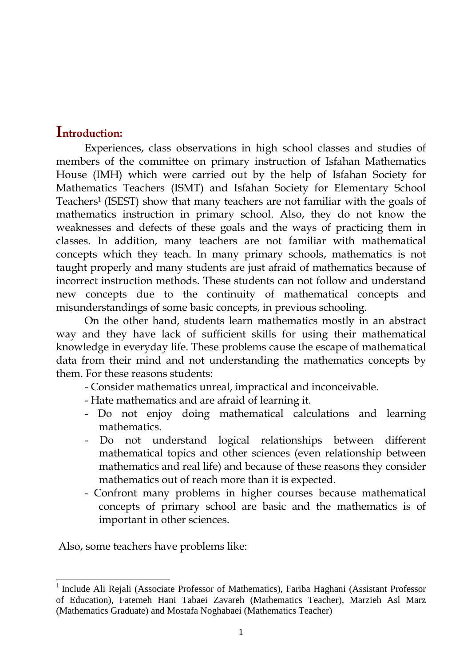### **Introduction:**

Experiences, class observations in high school classes and studies of members of the committee on primary instruction of Isfahan Mathematics House (IMH) which were carried out by the help of Isfahan Society for Mathematics Teachers (ISMT) and Isfahan Society for Elementary School Teachers<sup>1</sup> (ISEST) show that many teachers are not familiar with the goals of mathematics instruction in primary school. Also, they do not know the weaknesses and defects of these goals and the ways of practicing them in classes. In addition, many teachers are not familiar with mathematical concepts which they teach. In many primary schools, mathematics is not taught properly and many students are just afraid of mathematics because of incorrect instruction methods. These students can not follow and understand new concepts due to the continuity of mathematical concepts and misunderstandings of some basic concepts, in previous schooling.

On the other hand, students learn mathematics mostly in an abstract way and they have lack of sufficient skills for using their mathematical knowledge in everyday life. These problems cause the escape of mathematical data from their mind and not understanding the mathematics concepts by them. For these reasons students:

- Consider mathematics unreal, impractical and inconceivable.

- Hate mathematics and are afraid of learning it.
- Do not enjoy doing mathematical calculations and learning mathematics.
- Do not understand logical relationships between different mathematical topics and other sciences (even relationship between mathematics and real life) and because of these reasons they consider mathematics out of reach more than it is expected.
- Confront many problems in higher courses because mathematical concepts of primary school are basic and the mathematics is of important in other sciences.

Also, some teachers have problems like:

 1 Include Ali Rejali (Associate Professor of Mathematics), Fariba Haghani (Assistant Professor of Education), Fatemeh Hani Tabaei Zavareh (Mathematics Teacher), Marzieh Asl Marz (Mathematics Graduate) and Mostafa Noghabaei (Mathematics Teacher)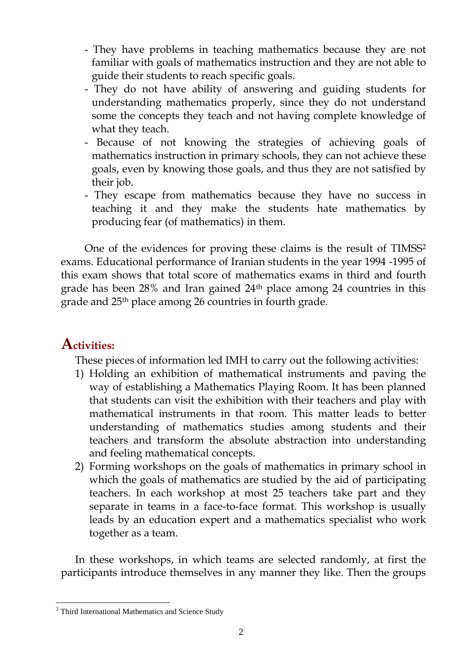- They have problems in teaching mathematics because they are not familiar with goals of mathematics instruction and they are not able to guide their students to reach specific goals.
- They do not have ability of answering and guiding students for understanding mathematics properly, since they do not understand some the concepts they teach and not having complete knowledge of what they teach.
- Because of not knowing the strategies of achieving goals of mathematics instruction in primary schools, they can not achieve these goals, even by knowing those goals, and thus they are not satisfied by their job.
- They escape from mathematics because they have no success in teaching it and they make the students hate mathematics by producing fear (of mathematics) in them.

One of the evidences for proving these claims is the result of TIMSS<sup>2</sup> exams. Educational performance of Iranian students in the year 1994 -1995 of this exam shows that total score of mathematics exams in third and fourth grade has been 28% and Iran gained 24th place among 24 countries in this grade and 25th place among 26 countries in fourth grade.

## **Activities:**

These pieces of information led IMH to carry out the following activities:

- 1) Holding an exhibition of mathematical instruments and paving the way of establishing a Mathematics Playing Room. It has been planned that students can visit the exhibition with their teachers and play with mathematical instruments in that room. This matter leads to better understanding of mathematics studies among students and their teachers and transform the absolute abstraction into understanding and feeling mathematical concepts.
- 2) Forming workshops on the goals of mathematics in primary school in which the goals of mathematics are studied by the aid of participating teachers. In each workshop at most 25 teachers take part and they separate in teams in a face-to-face format. This workshop is usually leads by an education expert and a mathematics specialist who work together as a team.

In these workshops, in which teams are selected randomly, at first the participants introduce themselves in any manner they like. Then the groups

 $\overline{a}$ <sup>2</sup> Third International Mathematics and Science Study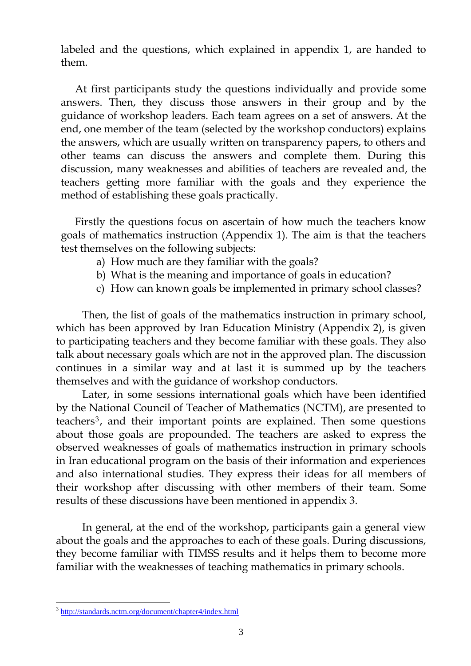labeled and the questions, which explained in appendix 1, are handed to them.

At first participants study the questions individually and provide some answers. Then, they discuss those answers in their group and by the guidance of workshop leaders. Each team agrees on a set of answers. At the end, one member of the team (selected by the workshop conductors) explains the answers, which are usually written on transparency papers, to others and other teams can discuss the answers and complete them. During this discussion, many weaknesses and abilities of teachers are revealed and, the teachers getting more familiar with the goals and they experience the method of establishing these goals practically.

Firstly the questions focus on ascertain of how much the teachers know goals of mathematics instruction (Appendix 1). The aim is that the teachers test themselves on the following subjects:

- a) How much are they familiar with the goals?
- b) What is the meaning and importance of goals in education?
- c) How can known goals be implemented in primary school classes?

Then, the list of goals of the mathematics instruction in primary school, which has been approved by Iran Education Ministry (Appendix 2), is given to participating teachers and they become familiar with these goals. They also talk about necessary goals which are not in the approved plan. The discussion continues in a similar way and at last it is summed up by the teachers themselves and with the guidance of workshop conductors.

Later, in some sessions international goals which have been identified by the National Council of Teacher of Mathematics (NCTM), are presented to teachers<sup>3</sup> , and their important points are explained. Then some questions about those goals are propounded. The teachers are asked to express the observed weaknesses of goals of mathematics instruction in primary schools in Iran educational program on the basis of their information and experiences and also international studies. They express their ideas for all members of their workshop after discussing with other members of their team. Some results of these discussions have been mentioned in appendix 3.

In general, at the end of the workshop, participants gain a general view about the goals and the approaches to each of these goals. During discussions, they become familiar with TIMSS results and it helps them to become more familiar with the weaknesses of teaching mathematics in primary schools.

<sup>&</sup>lt;sup>3</sup> <http://standards.nctm.org/document/chapter4/index.html>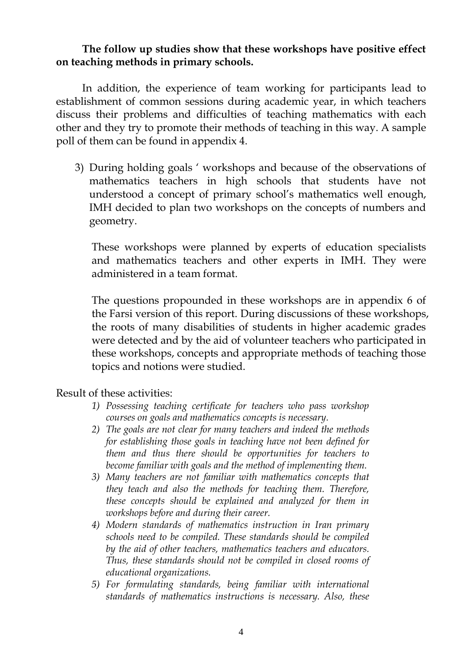#### **The follow up studies show that these workshops have positive effect on teaching methods in primary schools.**

In addition, the experience of team working for participants lead to establishment of common sessions during academic year, in which teachers discuss their problems and difficulties of teaching mathematics with each other and they try to promote their methods of teaching in this way. A sample poll of them can be found in appendix 4.

3) During holding goals " workshops and because of the observations of mathematics teachers in high schools that students have not understood a concept of primary school"s mathematics well enough, IMH decided to plan two workshops on the concepts of numbers and geometry.

These workshops were planned by experts of education specialists and mathematics teachers and other experts in IMH. They were administered in a team format.

The questions propounded in these workshops are in appendix 6 of the Farsi version of this report. During discussions of these workshops, the roots of many disabilities of students in higher academic grades were detected and by the aid of volunteer teachers who participated in these workshops, concepts and appropriate methods of teaching those topics and notions were studied.

#### Result of these activities:

- *1) Possessing teaching certificate for teachers who pass workshop courses on goals and mathematics concepts is necessary.*
- *2) The goals are not clear for many teachers and indeed the methods for establishing those goals in teaching have not been defined for them and thus there should be opportunities for teachers to become familiar with goals and the method of implementing them.*
- *3) Many teachers are not familiar with mathematics concepts that they teach and also the methods for teaching them. Therefore, these concepts should be explained and analyzed for them in workshops before and during their career.*
- *4) Modern standards of mathematics instruction in Iran primary schools need to be compiled. These standards should be compiled by the aid of other teachers, mathematics teachers and educators. Thus, these standards should not be compiled in closed rooms of educational organizations.*
- *5) For formulating standards, being familiar with international standards of mathematics instructions is necessary. Also, these*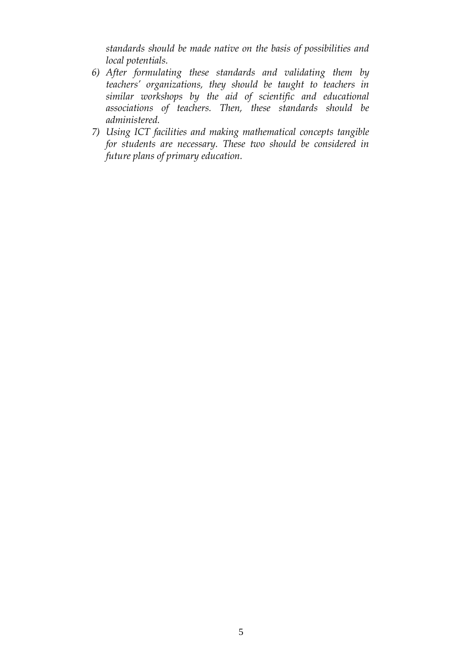*standards should be made native on the basis of possibilities and local potentials.*

- *6) After formulating these standards and validating them by teachers' organizations, they should be taught to teachers in similar workshops by the aid of scientific and educational associations of teachers. Then, these standards should be administered.*
- *7) Using ICT facilities and making mathematical concepts tangible for students are necessary. These two should be considered in future plans of primary education.*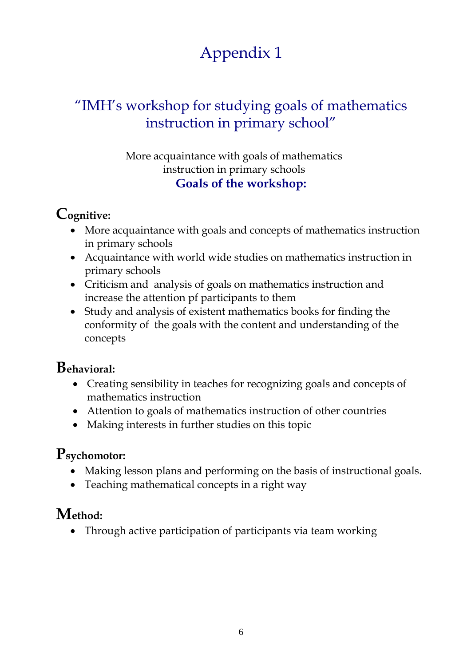## "IMH"s workshop for studying goals of mathematics instruction in primary school"

### More acquaintance with goals of mathematics instruction in primary schools **Goals of the workshop:**

## **Cognitive:**

- More acquaintance with goals and concepts of mathematics instruction in primary schools
- Acquaintance with world wide studies on mathematics instruction in primary schools
- Criticism and analysis of goals on mathematics instruction and increase the attention pf participants to them
- Study and analysis of existent mathematics books for finding the conformity of the goals with the content and understanding of the concepts

## **Behavioral:**

- Creating sensibility in teaches for recognizing goals and concepts of mathematics instruction
- Attention to goals of mathematics instruction of other countries
- Making interests in further studies on this topic

## **Psychomotor:**

- Making lesson plans and performing on the basis of instructional goals.
- Teaching mathematical concepts in a right way

## **Method:**

• Through active participation of participants via team working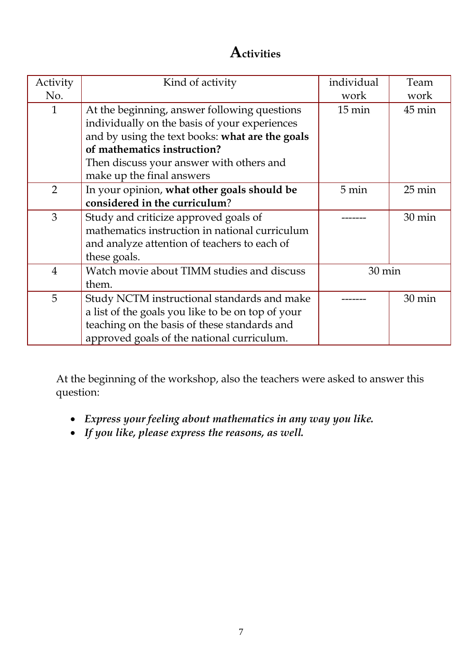## **Activities**

| Activity<br>No. | Kind of activity                                  | individual<br>work | Team<br>work        |
|-----------------|---------------------------------------------------|--------------------|---------------------|
| $\mathbf{1}$    | At the beginning, answer following questions      | $15 \text{ min}$   | 45 min              |
|                 | individually on the basis of your experiences     |                    |                     |
|                 | and by using the text books: what are the goals   |                    |                     |
|                 | of mathematics instruction?                       |                    |                     |
|                 | Then discuss your answer with others and          |                    |                     |
|                 | make up the final answers                         |                    |                     |
| $\overline{2}$  | In your opinion, what other goals should be       | 5 min              | $25 \,\mathrm{min}$ |
|                 | considered in the curriculum?                     |                    |                     |
| 3               | Study and criticize approved goals of             |                    | 30 min              |
|                 | mathematics instruction in national curriculum    |                    |                     |
|                 | and analyze attention of teachers to each of      |                    |                     |
|                 | these goals.                                      |                    |                     |
| $\overline{4}$  | Watch movie about TIMM studies and discuss        | 30 min             |                     |
|                 | them.                                             |                    |                     |
| 5               | Study NCTM instructional standards and make       |                    | $30 \text{ min}$    |
|                 | a list of the goals you like to be on top of your |                    |                     |
|                 | teaching on the basis of these standards and      |                    |                     |
|                 | approved goals of the national curriculum.        |                    |                     |

At the beginning of the workshop, also the teachers were asked to answer this question:

- *Express your feeling about mathematics in any way you like.*
- *If you like, please express the reasons, as well.*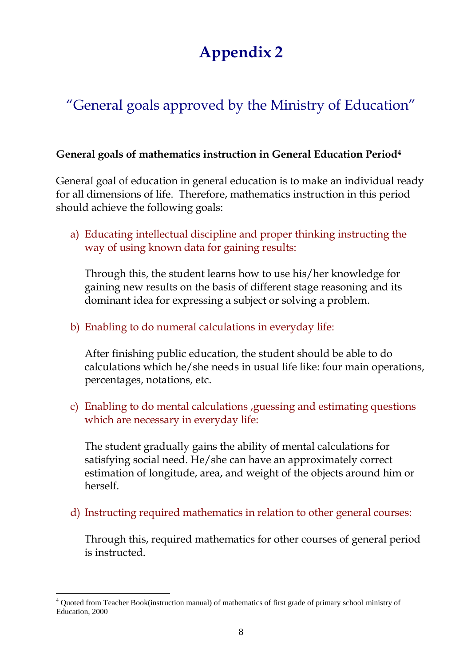# "General goals approved by the Ministry of Education"

#### **General goals of mathematics instruction in General Education Period<sup>4</sup>**

General goal of education in general education is to make an individual ready for all dimensions of life. Therefore, mathematics instruction in this period should achieve the following goals:

a) Educating intellectual discipline and proper thinking instructing the way of using known data for gaining results:

Through this, the student learns how to use his/her knowledge for gaining new results on the basis of different stage reasoning and its dominant idea for expressing a subject or solving a problem.

### b) Enabling to do numeral calculations in everyday life:

After finishing public education, the student should be able to do calculations which he/she needs in usual life like: four main operations, percentages, notations, etc.

c) Enabling to do mental calculations ,guessing and estimating questions which are necessary in everyday life:

The student gradually gains the ability of mental calculations for satisfying social need. He/she can have an approximately correct estimation of longitude, area, and weight of the objects around him or herself.

d) Instructing required mathematics in relation to other general courses:

Through this, required mathematics for other courses of general period is instructed.

 $\overline{a}$ 

<sup>4</sup> Quoted from Teacher Book(instruction manual) of mathematics of first grade of primary school ministry of Education, 2000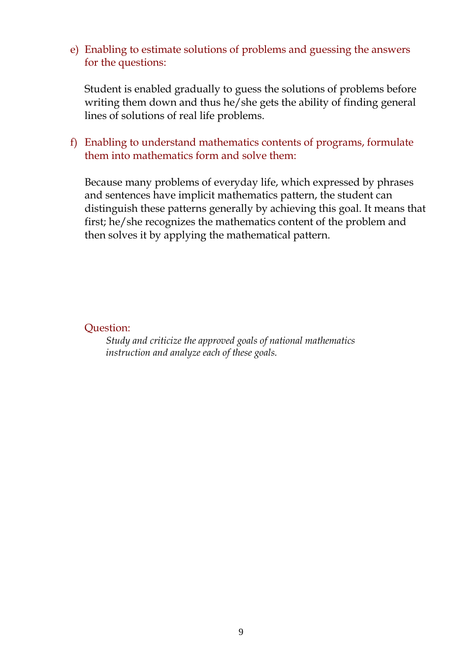e) Enabling to estimate solutions of problems and guessing the answers for the questions:

Student is enabled gradually to guess the solutions of problems before writing them down and thus he/she gets the ability of finding general lines of solutions of real life problems.

f) Enabling to understand mathematics contents of programs, formulate them into mathematics form and solve them:

Because many problems of everyday life, which expressed by phrases and sentences have implicit mathematics pattern, the student can distinguish these patterns generally by achieving this goal. It means that first; he/she recognizes the mathematics content of the problem and then solves it by applying the mathematical pattern.

Question:

*Study and criticize the approved goals of national mathematics instruction and analyze each of these goals.*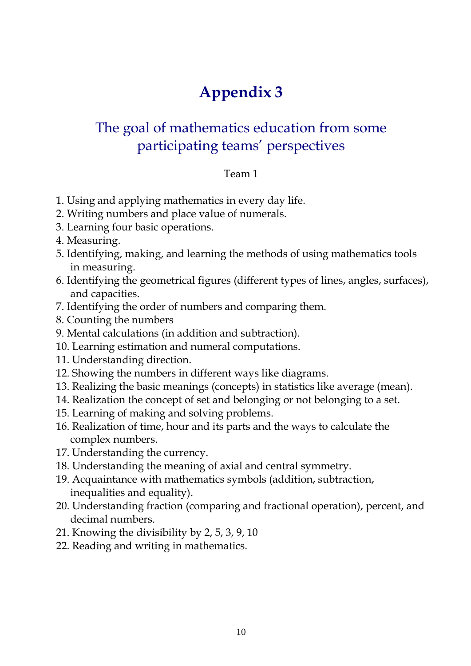## The goal of mathematics education from some participating teams" perspectives

#### Team 1

- 1. Using and applying mathematics in every day life.
- 2. Writing numbers and place value of numerals.
- 3. Learning four basic operations.
- 4. Measuring.
- 5. Identifying, making, and learning the methods of using mathematics tools in measuring.
- 6. Identifying the geometrical figures (different types of lines, angles, surfaces), and capacities.
- 7. Identifying the order of numbers and comparing them.
- 8. Counting the numbers
- 9. Mental calculations (in addition and subtraction).
- 10. Learning estimation and numeral computations.
- 11. Understanding direction.
- 12. Showing the numbers in different ways like diagrams.
- 13. Realizing the basic meanings (concepts) in statistics like average (mean).
- 14. Realization the concept of set and belonging or not belonging to a set.
- 15. Learning of making and solving problems.
- 16. Realization of time, hour and its parts and the ways to calculate the complex numbers.
- 17. Understanding the currency.
- 18. Understanding the meaning of axial and central symmetry.
- 19. Acquaintance with mathematics symbols (addition, subtraction, inequalities and equality).
- 20. Understanding fraction (comparing and fractional operation), percent, and decimal numbers.
- 21. Knowing the divisibility by 2, 5, 3, 9, 10
- 22. Reading and writing in mathematics.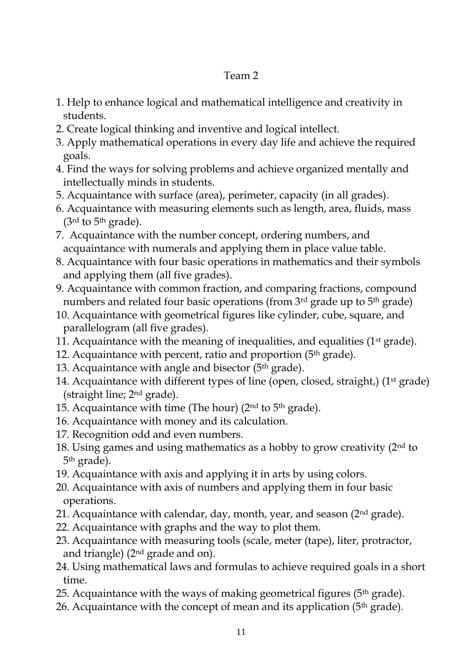### Team 2

- 1. Help to enhance logical and mathematical intelligence and creativity in students.
- 2. Create logical thinking and inventive and logical intellect.
- 3. Apply mathematical operations in every day life and achieve the required goals.
- 4. Find the ways for solving problems and achieve organized mentally and intellectually minds in students.
- 5. Acquaintance with surface (area), perimeter, capacity (in all grades).
- 6. Acquaintance with measuring elements such as length, area, fluids, mass  $(3<sup>rd</sup>$  to 5<sup>th</sup> grade).
- 7. Acquaintance with the number concept, ordering numbers, and acquaintance with numerals and applying them in place value table.
- 8. Acquaintance with four basic operations in mathematics and their symbols and applying them (all five grades).
- 9. Acquaintance with common fraction, and comparing fractions, compound numbers and related four basic operations (from 3<sup>rd</sup> grade up to 5<sup>th</sup> grade)
- 10. Acquaintance with geometrical figures like cylinder, cube, square, and parallelogram (all five grades).
- 11. Acquaintance with the meaning of inequalities, and equalities (1st grade).
- 12. Acquaintance with percent, ratio and proportion  $(5<sup>th</sup> grade)$ .
- 13. Acquaintance with angle and bisector  $(5<sup>th</sup> grade)$ .
- 14. Acquaintance with different types of line (open, closed, straight,) (1<sup>st</sup> grade) (straight line; 2 nd grade).
- 15. Acquaintance with time (The hour) ( $2<sup>nd</sup>$  to  $5<sup>th</sup>$  grade).
- 16. Acquaintance with money and its calculation.
- 17. Recognition odd and even numbers.
- 18. Using games and using mathematics as a hobby to grow creativity  $(2<sup>nd</sup>$  to 5<sup>th</sup> grade).
- 19. Acquaintance with axis and applying it in arts by using colors.
- 20. Acquaintance with axis of numbers and applying them in four basic operations.
- 21. Acquaintance with calendar, day, month, year, and season  $(2<sup>nd</sup> grade)$ .
- 22. Acquaintance with graphs and the way to plot them.
- 23. Acquaintance with measuring tools (scale, meter (tape), liter, protractor, and triangle) (2nd grade and on).
- 24. Using mathematical laws and formulas to achieve required goals in a short time.
- 25. Acquaintance with the ways of making geometrical figures ( $5<sup>th</sup>$  grade).
- 26. Acquaintance with the concept of mean and its application ( $5<sup>th</sup>$  grade).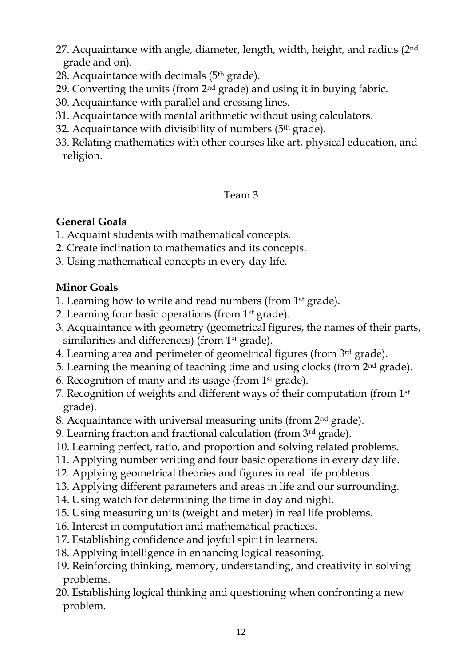- 27. Acquaintance with angle, diameter, length, width, height, and radius (2<sup>nd</sup>) grade and on).
- 28. Acquaintance with decimals  $(5<sup>th</sup> grade)$ .
- 29. Converting the units (from  $2<sup>nd</sup>$  grade) and using it in buying fabric.
- 30. Acquaintance with parallel and crossing lines.
- 31. Acquaintance with mental arithmetic without using calculators.
- 32. Acquaintance with divisibility of numbers  $(5<sup>th</sup> grade)$ .
- 33. Relating mathematics with other courses like art, physical education, and religion.

### Team 3

### **General Goals**

- 1. Acquaint students with mathematical concepts.
- 2. Create inclination to mathematics and its concepts.
- 3. Using mathematical concepts in every day life.

### **Minor Goals**

- 1. Learning how to write and read numbers (from 1st grade).
- 2. Learning four basic operations (from 1st grade).
- 3. Acquaintance with geometry (geometrical figures, the names of their parts, similarities and differences) (from 1st grade).
- 4. Learning area and perimeter of geometrical figures (from 3rd grade).
- 5. Learning the meaning of teaching time and using clocks (from 2nd grade).
- 6. Recognition of many and its usage (from 1st grade).
- 7. Recognition of weights and different ways of their computation (from 1st grade).
- 8. Acquaintance with universal measuring units (from 2nd grade).
- 9. Learning fraction and fractional calculation (from  $3<sup>rd</sup>$  grade).
- 10. Learning perfect, ratio, and proportion and solving related problems.
- 11. Applying number writing and four basic operations in every day life.
- 12. Applying geometrical theories and figures in real life problems.
- 13. Applying different parameters and areas in life and our surrounding.
- 14. Using watch for determining the time in day and night.
- 15. Using measuring units (weight and meter) in real life problems.
- 16. Interest in computation and mathematical practices.
- 17. Establishing confidence and joyful spirit in learners.
- 18. Applying intelligence in enhancing logical reasoning.
- 19. Reinforcing thinking, memory, understanding, and creativity in solving problems.
- 20. Establishing logical thinking and questioning when confronting a new problem.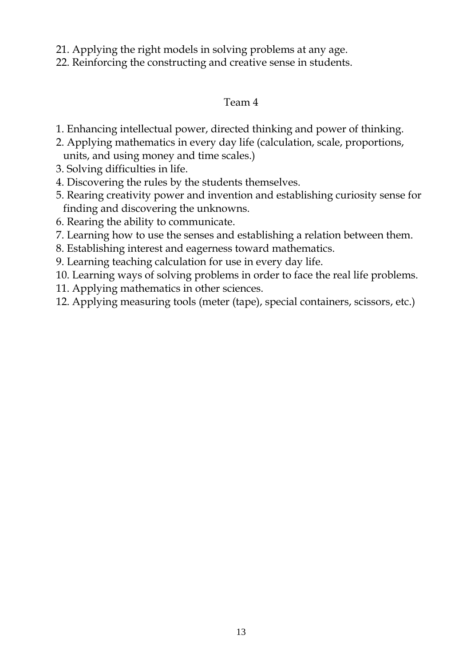- 21. Applying the right models in solving problems at any age.
- 22. Reinforcing the constructing and creative sense in students.

### Team 4

- 1. Enhancing intellectual power, directed thinking and power of thinking.
- 2. Applying mathematics in every day life (calculation, scale, proportions, units, and using money and time scales.)
- 3. Solving difficulties in life.
- 4. Discovering the rules by the students themselves.
- 5. Rearing creativity power and invention and establishing curiosity sense for finding and discovering the unknowns.
- 6. Rearing the ability to communicate.
- 7. Learning how to use the senses and establishing a relation between them.
- 8. Establishing interest and eagerness toward mathematics.
- 9. Learning teaching calculation for use in every day life.
- 10. Learning ways of solving problems in order to face the real life problems.
- 11. Applying mathematics in other sciences.
- 12. Applying measuring tools (meter (tape), special containers, scissors, etc.)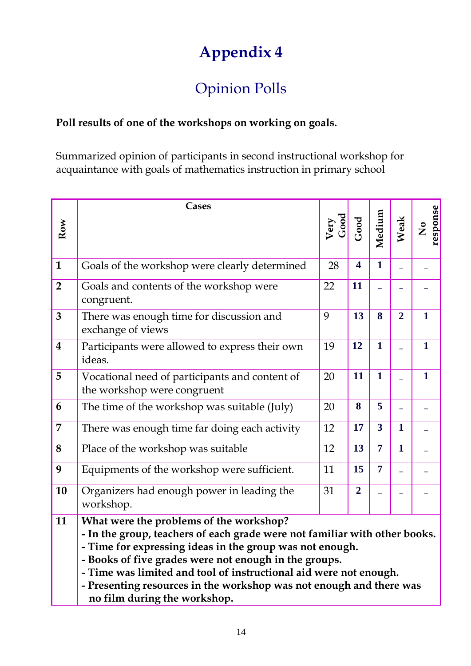# Opinion Polls

### **Poll results of one of the workshops on working on goals.**

Summarized opinion of participants in second instructional workshop for acquaintance with goals of mathematics instruction in primary school

|                         | Cases                                                                                                                                                                                                                                                                                                                                                                                                                  |              |                         |                |                |                                       |
|-------------------------|------------------------------------------------------------------------------------------------------------------------------------------------------------------------------------------------------------------------------------------------------------------------------------------------------------------------------------------------------------------------------------------------------------------------|--------------|-------------------------|----------------|----------------|---------------------------------------|
| Row                     |                                                                                                                                                                                                                                                                                                                                                                                                                        | Very<br>Good | Good                    | Medium         | Weak           | response<br>$\mathsf{z}^{\mathsf{o}}$ |
| $\mathbf{1}$            | Goals of the workshop were clearly determined                                                                                                                                                                                                                                                                                                                                                                          | 28           | $\overline{\mathbf{4}}$ | $\mathbf{1}$   |                |                                       |
| $\overline{2}$          | Goals and contents of the workshop were<br>congruent.                                                                                                                                                                                                                                                                                                                                                                  | 22           | 11                      |                |                |                                       |
| 3                       | There was enough time for discussion and<br>exchange of views                                                                                                                                                                                                                                                                                                                                                          | 9            | 13                      | 8              | $\overline{2}$ | $\mathbf{1}$                          |
| $\overline{\mathbf{4}}$ | Participants were allowed to express their own<br>ideas.                                                                                                                                                                                                                                                                                                                                                               | 19           | 12                      | $\mathbf{1}$   |                | $\mathbf{1}$                          |
| 5                       | Vocational need of participants and content of<br>the workshop were congruent                                                                                                                                                                                                                                                                                                                                          | 20           | 11                      | $\mathbf{1}$   |                | $\mathbf{1}$                          |
| 6                       | The time of the workshop was suitable (July)                                                                                                                                                                                                                                                                                                                                                                           | 20           | 8                       | 5              |                |                                       |
| 7                       | There was enough time far doing each activity                                                                                                                                                                                                                                                                                                                                                                          | 12           | 17                      | $\overline{3}$ | $\mathbf{1}$   |                                       |
| 8                       | Place of the workshop was suitable                                                                                                                                                                                                                                                                                                                                                                                     | 12           | 13                      | $\overline{7}$ | $\mathbf{1}$   |                                       |
| 9                       | Equipments of the workshop were sufficient.                                                                                                                                                                                                                                                                                                                                                                            | 11           | 15                      | $\overline{7}$ |                |                                       |
| 10                      | Organizers had enough power in leading the<br>workshop.                                                                                                                                                                                                                                                                                                                                                                | 31           | $\overline{2}$          |                |                |                                       |
| 11                      | What were the problems of the workshop?<br>- In the group, teachers of each grade were not familiar with other books.<br>- Time for expressing ideas in the group was not enough.<br>- Books of five grades were not enough in the groups.<br>- Time was limited and tool of instructional aid were not enough.<br>- Presenting resources in the workshop was not enough and there was<br>no film during the workshop. |              |                         |                |                |                                       |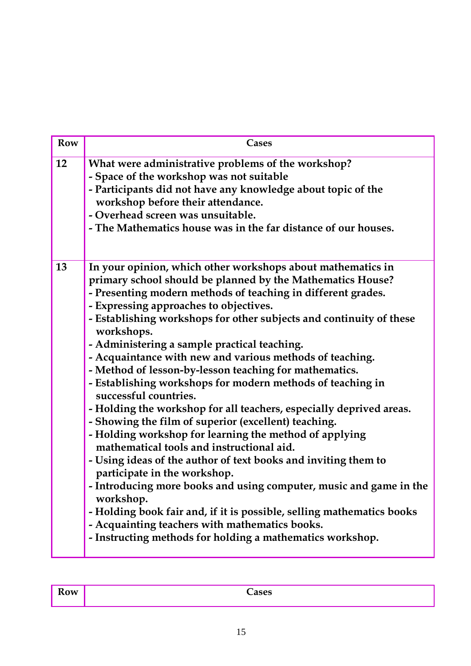| <b>Row</b> | <b>Cases</b>                                                                                                                                                                                                                                                                                                                                                                                                                                                                                                                                                                                                                                                                                                                                                                                                                                                                                                                                                                                                                                                                                                                                                                                             |
|------------|----------------------------------------------------------------------------------------------------------------------------------------------------------------------------------------------------------------------------------------------------------------------------------------------------------------------------------------------------------------------------------------------------------------------------------------------------------------------------------------------------------------------------------------------------------------------------------------------------------------------------------------------------------------------------------------------------------------------------------------------------------------------------------------------------------------------------------------------------------------------------------------------------------------------------------------------------------------------------------------------------------------------------------------------------------------------------------------------------------------------------------------------------------------------------------------------------------|
| 12         | What were administrative problems of the workshop?<br>- Space of the workshop was not suitable<br>- Participants did not have any knowledge about topic of the<br>workshop before their attendance.<br>- Overhead screen was unsuitable.<br>- The Mathematics house was in the far distance of our houses.                                                                                                                                                                                                                                                                                                                                                                                                                                                                                                                                                                                                                                                                                                                                                                                                                                                                                               |
| 13         | In your opinion, which other workshops about mathematics in<br>primary school should be planned by the Mathematics House?<br>- Presenting modern methods of teaching in different grades.<br>- Expressing approaches to objectives.<br>- Establishing workshops for other subjects and continuity of these<br>workshops.<br>- Administering a sample practical teaching.<br>- Acquaintance with new and various methods of teaching.<br>- Method of lesson-by-lesson teaching for mathematics.<br>- Establishing workshops for modern methods of teaching in<br>successful countries.<br>- Holding the workshop for all teachers, especially deprived areas.<br>- Showing the film of superior (excellent) teaching.<br>- Holding workshop for learning the method of applying<br>mathematical tools and instructional aid.<br>- Using ideas of the author of text books and inviting them to<br>participate in the workshop.<br>- Introducing more books and using computer, music and game in the<br>workshop.<br>- Holding book fair and, if it is possible, selling mathematics books<br>- Acquainting teachers with mathematics books.<br>- Instructing methods for holding a mathematics workshop. |

| D<br>Row | 0.000 |
|----------|-------|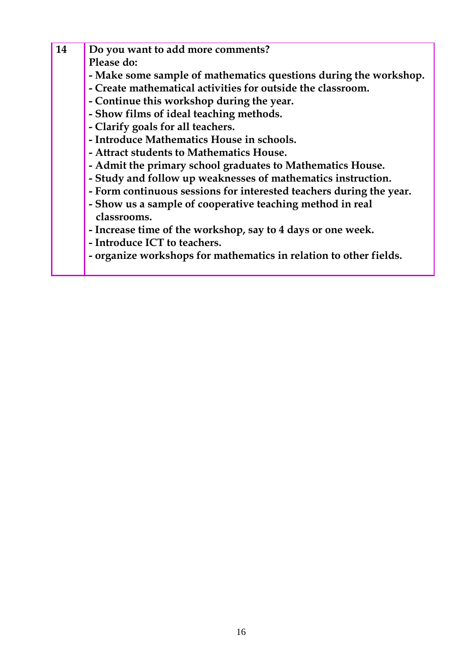| 14 | Do you want to add more comments?                                   |
|----|---------------------------------------------------------------------|
|    | Please do:                                                          |
|    | - Make some sample of mathematics questions during the workshop.    |
|    | - Create mathematical activities for outside the classroom.         |
|    | - Continue this workshop during the year.                           |
|    | - Show films of ideal teaching methods.                             |
|    | - Clarify goals for all teachers.                                   |
|    | - Introduce Mathematics House in schools.                           |
|    | - Attract students to Mathematics House.                            |
|    | - Admit the primary school graduates to Mathematics House.          |
|    | - Study and follow up weaknesses of mathematics instruction.        |
|    | - Form continuous sessions for interested teachers during the year. |
|    | - Show us a sample of cooperative teaching method in real           |
|    | classrooms.                                                         |
|    | - Increase time of the workshop, say to 4 days or one week.         |
|    | - Introduce ICT to teachers.                                        |
|    | - organize workshops for mathematics in relation to other fields.   |
|    |                                                                     |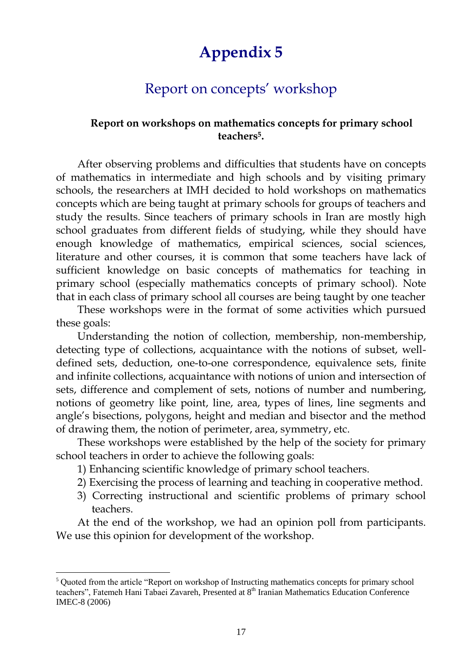## Report on concepts" workshop

#### **Report on workshops on mathematics concepts for primary school teachers<sup>5</sup> .**

After observing problems and difficulties that students have on concepts of mathematics in intermediate and high schools and by visiting primary schools, the researchers at IMH decided to hold workshops on mathematics concepts which are being taught at primary schools for groups of teachers and study the results. Since teachers of primary schools in Iran are mostly high school graduates from different fields of studying, while they should have enough knowledge of mathematics, empirical sciences, social sciences, literature and other courses, it is common that some teachers have lack of sufficient knowledge on basic concepts of mathematics for teaching in primary school (especially mathematics concepts of primary school). Note that in each class of primary school all courses are being taught by one teacher

These workshops were in the format of some activities which pursued these goals:

Understanding the notion of collection, membership, non-membership, detecting type of collections, acquaintance with the notions of subset, welldefined sets, deduction, one-to-one correspondence, equivalence sets, finite and infinite collections, acquaintance with notions of union and intersection of sets, difference and complement of sets, notions of number and numbering, notions of geometry like point, line, area, types of lines, line segments and angle"s bisections, polygons, height and median and bisector and the method of drawing them, the notion of perimeter, area, symmetry, etc.

These workshops were established by the help of the society for primary school teachers in order to achieve the following goals:

- 1) Enhancing scientific knowledge of primary school teachers.
- 2) Exercising the process of learning and teaching in cooperative method.
- 3) Correcting instructional and scientific problems of primary school teachers.

At the end of the workshop, we had an opinion poll from participants. We use this opinion for development of the workshop.

 $\overline{a}$ 

<sup>&</sup>lt;sup>5</sup> Quoted from the article "Report on workshop of Instructing mathematics concepts for primary school teachers", Fatemeh Hani Tabaei Zavareh, Presented at 8<sup>th</sup> Iranian Mathematics Education Conference IMEC-8 (2006)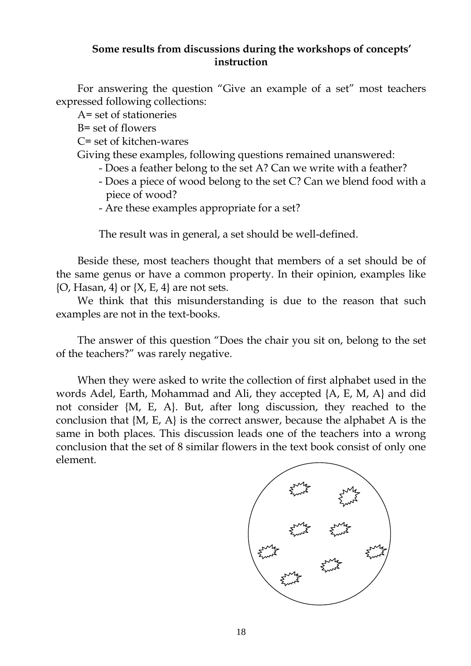#### **Some results from discussions during the workshops of concepts' instruction**

For answering the question "Give an example of a set" most teachers expressed following collections:

A= set of stationeries

B= set of flowers

C= set of kitchen-wares

Giving these examples, following questions remained unanswered:

- Does a feather belong to the set A? Can we write with a feather?
- Does a piece of wood belong to the set C? Can we blend food with a piece of wood?
- Are these examples appropriate for a set?

The result was in general, a set should be well-defined.

Beside these, most teachers thought that members of a set should be of the same genus or have a common property. In their opinion, examples like  $\{O, Hasan, 4\}$  or  $\{X, E, 4\}$  are not sets.

We think that this misunderstanding is due to the reason that such examples are not in the text-books.

The answer of this question "Does the chair you sit on, belong to the set of the teachers?" was rarely negative.

When they were asked to write the collection of first alphabet used in the words Adel, Earth, Mohammad and Ali, they accepted {A, E, M, A} and did not consider {M, E, A}. But, after long discussion, they reached to the conclusion that {M, E, A} is the correct answer, because the alphabet A is the same in both places. This discussion leads one of the teachers into a wrong conclusion that the set of 8 similar flowers in the text book consist of only one element.